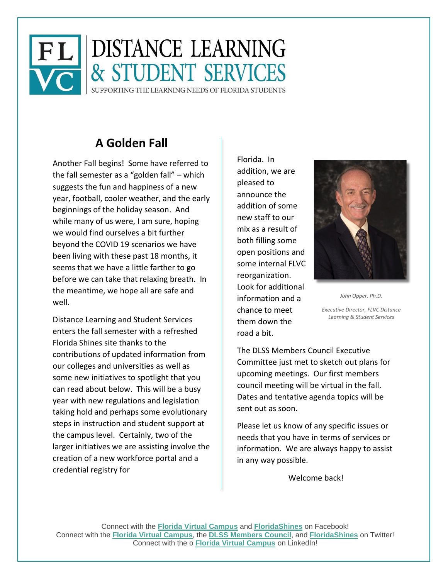

# **A Golden Fall**

Another Fall begins! Some have referred to the fall semester as a "golden fall" – which suggests the fun and happiness of a new year, football, cooler weather, and the early beginnings of the holiday season. And while many of us were, I am sure, hoping we would find ourselves a bit further beyond the COVID 19 scenarios we have been living with these past 18 months, it seems that we have a little farther to go before we can take that relaxing breath. In the meantime, we hope all are safe and well.

Distance Learning and Student Services enters the fall semester with a refreshed Florida Shines site thanks to the contributions of updated information from our colleges and universities as well as some new initiatives to spotlight that you can read about below. This will be a busy year with new regulations and legislation taking hold and perhaps some evolutionary steps in instruction and student support at the campus level. Certainly, two of the larger initiatives we are assisting involve the creation of a new workforce portal and a credential registry for

Florida. In addition, we are pleased to announce the addition of some new staff to our mix as a result of both filling some open positions and some internal FLVC reorganization. Look for additional information and a chance to meet them down the road a bit.



*John Opper, Ph.D.*

*Executive Director, FLVC Distance Learning & Student Services*

The DLSS Members Council Executive Committee just met to sketch out plans for upcoming meetings. Our first members council meeting will be virtual in the fall. Dates and tentative agenda topics will be sent out as soon.

Please let us know of any specific issues or needs that you have in terms of services or information. We are always happy to assist in any way possible.

Welcome back!

Connect with the **[Florida Virtual Campus](https://nam11.safelinks.protection.outlook.com/?url=https%3A%2F%2Fwww.facebook.com%2FFLVirtualCampus%2F&data=04%7C01%7Cathimmes%40flvc.org%7C0f8157b9c4c8469735b608d8bccccfac%7C60ebd441a2f94841802f22bf1380b4ae%7C0%7C0%7C637466935148039887%7CUnknown%7CTWFpbGZsb3d8eyJWIjoiMC4wLjAwMDAiLCJQIjoiV2luMzIiLCJBTiI6Ik1haWwiLCJXVCI6Mn0%3D%7C1000&sdata=YHyi5M0ICTc%2BVegIRQ1v3J3GgdFMoYpvRHAGE0BfH9Y%3D&reserved=0)** and **[FloridaShines](https://nam11.safelinks.protection.outlook.com/?url=https%3A%2F%2Fwww.facebook.com%2FFLShines%2F&data=04%7C01%7Cathimmes%40flvc.org%7C0f8157b9c4c8469735b608d8bccccfac%7C60ebd441a2f94841802f22bf1380b4ae%7C0%7C0%7C637466935148049880%7CUnknown%7CTWFpbGZsb3d8eyJWIjoiMC4wLjAwMDAiLCJQIjoiV2luMzIiLCJBTiI6Ik1haWwiLCJXVCI6Mn0%3D%7C1000&sdata=edjj5WYQVVDxVAzSrXCaUUYlqL88AAzvnPSKSsxhzqQ%3D&reserved=0)** on Facebook! Connect with the **[Florida Virtual Campus](https://nam11.safelinks.protection.outlook.com/?url=https%3A%2F%2Ftwitter.com%2FFLVirtualCampus&data=04%7C01%7Cathimmes%40flvc.org%7C0f8157b9c4c8469735b608d8bccccfac%7C60ebd441a2f94841802f22bf1380b4ae%7C0%7C0%7C637466935148049880%7CUnknown%7CTWFpbGZsb3d8eyJWIjoiMC4wLjAwMDAiLCJQIjoiV2luMzIiLCJBTiI6Ik1haWwiLCJXVCI6Mn0%3D%7C1000&sdata=ZPmv0vT05td9GbLe9KUT8K%2FebD8Ch98VmLIRK7y6IQw%3D&reserved=0)**, the **[DLSS Members Council](https://nam11.safelinks.protection.outlook.com/?url=https%3A%2F%2Ftwitter.com%2FDLSSCouncil&data=04%7C01%7Cathimmes%40flvc.org%7C0f8157b9c4c8469735b608d8bccccfac%7C60ebd441a2f94841802f22bf1380b4ae%7C0%7C0%7C637466935148059876%7CUnknown%7CTWFpbGZsb3d8eyJWIjoiMC4wLjAwMDAiLCJQIjoiV2luMzIiLCJBTiI6Ik1haWwiLCJXVCI6Mn0%3D%7C1000&sdata=uVDe4c1kJiY5akLJNUrP0Avjbjs0sQ%2ByzC62zruOwj4%3D&reserved=0)**, and **[FloridaShines](https://nam11.safelinks.protection.outlook.com/?url=https%3A%2F%2Ftwitter.com%2FFLShines&data=04%7C01%7Cathimmes%40flvc.org%7C0f8157b9c4c8469735b608d8bccccfac%7C60ebd441a2f94841802f22bf1380b4ae%7C0%7C0%7C637466935148069874%7CUnknown%7CTWFpbGZsb3d8eyJWIjoiMC4wLjAwMDAiLCJQIjoiV2luMzIiLCJBTiI6Ik1haWwiLCJXVCI6Mn0%3D%7C1000&sdata=DGgGcPjcO3BZx01srP7HJ6QEpwRBq6VR35zQI%2BXSvkE%3D&reserved=0)** on Twitter! Connect with the o **[Florida Virtual Campus](https://nam11.safelinks.protection.outlook.com/?url=https%3A%2F%2Fwww.linkedin.com%2Fcompany%2Ffloridavirtualcampus%2F&data=04%7C01%7Cathimmes%40flvc.org%7C0f8157b9c4c8469735b608d8bccccfac%7C60ebd441a2f94841802f22bf1380b4ae%7C0%7C0%7C637466935148069874%7CUnknown%7CTWFpbGZsb3d8eyJWIjoiMC4wLjAwMDAiLCJQIjoiV2luMzIiLCJBTiI6Ik1haWwiLCJXVCI6Mn0%3D%7C1000&sdata=P3c4ehdIWUUfjySHoCqedGbNHV3i4ohMSi5IutTBv%2Fg%3D&reserved=0)** on LinkedIn!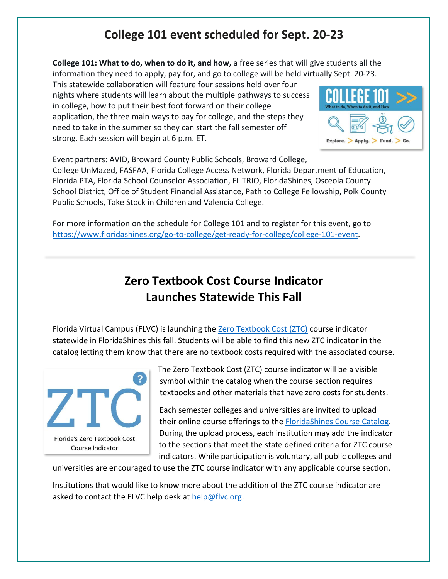### **College 101 event scheduled for Sept. 20-23**

**College 101: What to do, when to do it, and how,** a free series that will give students all the information they need to apply, pay for, and go to college will be held virtually Sept. 20-23.

This statewide collaboration will feature four sessions held over four nights where students will learn about the multiple pathways to success in college, how to put their best foot forward on their college application, the three main ways to pay for college, and the steps they need to take in the summer so they can start the fall semester off strong. Each session will begin at 6 p.m. ET.



Event partners: AVID, Broward County Public Schools, Broward College, College UnMazed, FASFAA, Florida College Access Network, Florida Department of Education, Florida PTA, Florida School Counselor Association, FL TRIO, FloridaShines, Osceola County School District, Office of Student Financial Assistance, Path to College Fellowship, Polk County Public Schools, Take Stock in Children and Valencia College.

For more information on the schedule for College 101 and to register for this event, go to [https://www.floridashines.org/go-to-college/get-ready-for-college/college-101-event.](https://www.floridashines.org/go-to-college/get-ready-for-college/college-101-event)

## **Zero Textbook Cost Course Indicator Launches Statewide This Fall**

Florida Virtual Campus (FLVC) is launching the [Zero Textbook Cost \(ZTC\)](https://dlss.flvc.org/florida-zero-textbook-cost-indicator) course indicator statewide in FloridaShines this fall. Students will be able to find this new ZTC indicator in the catalog letting them know that there are no textbook costs required with the associated course.



The Zero Textbook Cost (ZTC) course indicator will be a visible symbol within the catalog when the course section requires textbooks and other materials that have zero costs for students.

Each semester colleges and universities are invited to upload their online course offerings to the **FloridaShines Course Catalog**. During the upload process, each institution may add the indicator to the sections that meet the state defined criteria for ZTC course indicators. While participation is voluntary, all public colleges and

universities are encouraged to use the ZTC course indicator with any applicable course section.

Institutions that would like to know more about the addition of the ZTC course indicator are asked to contact the FLVC help desk at [help@flvc.org.](mailto:help@flvc.org)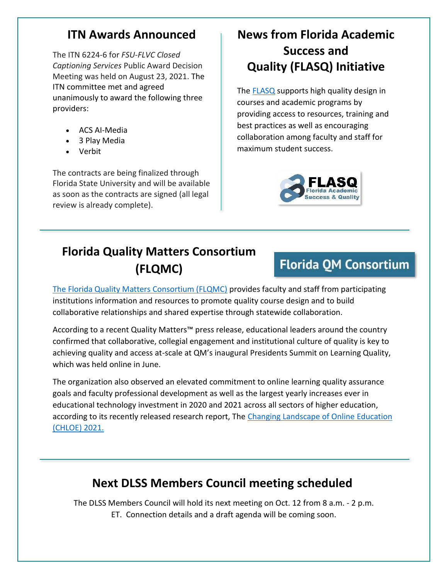#### **ITN Awards Announced**

The ITN 6224-6 for *FSU-FLVC Closed Captioning Services* Public Award Decision Meeting was held on August 23, 2021. The ITN committee met and agreed unanimously to award the following three providers:

- ACS AI-Media
- 3 Play Media
- Verbit

The contracts are being finalized through Florida State University and will be available as soon as the contracts are signed (all legal review is already complete).

# **News from Florida Academic Success and Quality (FLASQ) Initiative**

The **FLASQ** supports high quality design in courses and academic programs by providing access to resources, training and best practices as well as encouraging collaboration among faculty and staff for maximum student success.



# **Florida Quality Matters Consortium (FLQMC)**

# **Florida QM Consortium**

[The Florida Quality Matters Consortium \(FLQMC\)](https://dlss.flvc.org/flqmc) provides faculty and staff from participating institutions information and resources to promote quality course design and to build collaborative relationships and shared expertise through statewide collaboration.

According to a recent Quality Matters™ press release, educational leaders around the country confirmed that collaborative, collegial engagement and institutional culture of quality is key to achieving quality and access at-scale at QM's inaugural Presidents Summit on Learning Quality, which was held online in June.

The organization also observed an elevated commitment to online learning quality assurance goals and faculty professional development as well as the largest yearly increases ever in educational technology investment in 2020 and 2021 across all sectors of higher education, according to its recently released research report, The [Changing Landscape of Online Education](https://www.qualitymatters.org/qa-resources/resource-center/articles-resources/CHLOE-6-report-2021)  [\(CHLOE\) 2021.](https://www.qualitymatters.org/qa-resources/resource-center/articles-resources/CHLOE-6-report-2021)

## **Next DLSS Members Council meeting scheduled**

The DLSS Members Council will hold its next meeting on Oct. 12 from 8 a.m. - 2 p.m. ET. Connection details and a draft agenda will be coming soon.